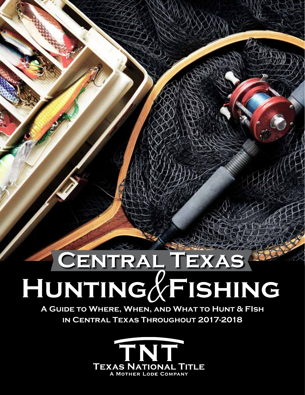# **Central Texas Hunting Fishing**

**A Guide to Where, When, and What to Hunt & FIsh in Central Texas Throughout 2017-2018**

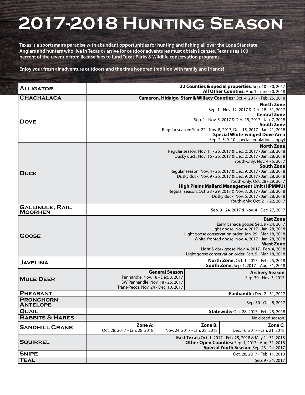# **2017-2018 Hunting Season**

**Texas is a sportsman's paradise with abundant opportunities for hunting and fishing all over the Lone Star state. Anglers and hunters who live in Texas or arrive for outdoor adventures must obtain licenses. Texas uses 100 percent of the revenue from license fees to fund Texas Parks & Wildlife conservation programs.**

**Enjoy your fresh air adventure outdoors and the time honored tradition with family and friends!**

| <b>ALLIGATOR</b>                          | 22 Counties & special properties: Sep. 10 - 30, 2017<br>All Other Counties: Apr. 1 - June 30, 2018                                                             |                       |                                          |                                                 |  |
|-------------------------------------------|----------------------------------------------------------------------------------------------------------------------------------------------------------------|-----------------------|------------------------------------------|-------------------------------------------------|--|
| <b>CHACHALACA</b>                         | Cameron, Hidalgo, Starr & Willacy Counties: Oct. 4, 2017 - Feb. 25, 2018                                                                                       |                       |                                          |                                                 |  |
| <b>DOVE</b>                               | <b>North Zone</b><br>Sep. 1 - Nov. 12, 2017 & Dec. 18 - 31, 2017<br><b>Central Zone</b>                                                                        |                       |                                          |                                                 |  |
|                                           | Sep. 1 - Nov. 5, 2017 & Dec. 15, 2017 - Jan. 7, 2018<br><b>South Zone</b>                                                                                      |                       |                                          |                                                 |  |
|                                           | Regular season: Sep. 22 - Nov. 8, 2017; Dec. 15, 2017 - Jan. 21, 2018<br><b>Special White-winged Dove Area</b><br>Sep. 2, 3, 9, 10 (special regulations apply) |                       |                                          |                                                 |  |
|                                           | <b>North Zone</b>                                                                                                                                              |                       |                                          |                                                 |  |
|                                           | Regular season: Nov. 11 - 26, 2017 & Dec. 2, 2017 - Jan. 28, 2018                                                                                              |                       |                                          |                                                 |  |
|                                           | Dusky duck: Nov. 16 - 26, 2017 & Dec. 2, 2017 - Jan. 28, 2018                                                                                                  |                       |                                          |                                                 |  |
|                                           | Youth-only: Nov. 4 - 5, 2017<br><b>South Zone</b>                                                                                                              |                       |                                          |                                                 |  |
|                                           | Regular season: Nov. 4 - 26, 2017 & Dec. 9, 2017 - Jan. 28, 2018                                                                                               |                       |                                          |                                                 |  |
| <b>DUCK</b>                               | Dusky duck: Nov. 9 - 26, 2017 & Dec. 9, 2017 - Jan. 28, 2018                                                                                                   |                       |                                          |                                                 |  |
|                                           | Youth-only: Oct. 28 - 29, 2017                                                                                                                                 |                       |                                          |                                                 |  |
|                                           | <b>High Plains Mallard Management Unit (HPMMU)</b><br>Regular season: Oct. 28 - 29, 2017 & Nov. 3, 2017 - Jan. 28, 2018                                        |                       |                                          |                                                 |  |
|                                           | Dusky duck: Nov. 6, 2017 - Jan. 28, 2018                                                                                                                       |                       |                                          |                                                 |  |
|                                           | Youth-only: Oct. 21 - 22, 2017                                                                                                                                 |                       |                                          |                                                 |  |
| <b>GALLINULE, RAIL,</b><br><b>MOORHEN</b> |                                                                                                                                                                |                       |                                          | Sep. 9 - 24, 2017 & Nov. 4 - Dec. 27, 2017      |  |
| <b>GOOSE</b>                              | <b>East Zone</b>                                                                                                                                               |                       |                                          |                                                 |  |
|                                           | Early Canada goose: Sep. 9 - 24, 2017                                                                                                                          |                       |                                          |                                                 |  |
|                                           | Light goose: Nov. 4, 2017 - Jan. 28, 2018<br>Light goose conservation order: Jan. 29 - Mar. 18, 2018                                                           |                       |                                          |                                                 |  |
|                                           | White-fronted goose: Nov. 4, 2017 - Jan. 28, 2018                                                                                                              |                       |                                          |                                                 |  |
|                                           | <b>West Zone</b>                                                                                                                                               |                       |                                          |                                                 |  |
|                                           | Light & dark geese: Nov. 4, 2017 - Feb. 4, 2018<br>Light goose conservation order: Feb. 5 - Mar. 18, 2018                                                      |                       |                                          |                                                 |  |
|                                           |                                                                                                                                                                |                       |                                          |                                                 |  |
| <b>JAVELINA</b>                           | North Zone: Oct. 1, 2017 - Feb. 25, 2018<br><b>South Zone:</b> Sep. 1, 2017 - Aug. 31, 2018                                                                    |                       |                                          |                                                 |  |
| <b>MULE DEER</b>                          | Panhandle: Nov. 18 - Dec. 3, 2017                                                                                                                              | <b>General Season</b> |                                          | <b>Archery Season</b><br>Sep. 30 - Nov. 3, 2017 |  |
|                                           | SW Panhandle: Nov. 18 - 26, 2017                                                                                                                               |                       |                                          |                                                 |  |
|                                           | Trans-Pecos: Nov. 24 - Dec. 10, 2017                                                                                                                           |                       |                                          |                                                 |  |
| <b>PHEASANT</b>                           |                                                                                                                                                                |                       |                                          | Panhandle: Dec. 2 - 31, 2017                    |  |
| <b>PRONGHORN</b><br><b>ANTELOPE</b>       | Sep. 30 - Oct. 8, 2017                                                                                                                                         |                       |                                          |                                                 |  |
| <b>QUAIL</b>                              | Statewide: Oct. 28, 2017 - Feb. 25, 2018                                                                                                                       |                       |                                          |                                                 |  |
| <b>RABBITS &amp; HARES</b>                | No closed season.                                                                                                                                              |                       |                                          |                                                 |  |
| <b>SANDHILL CRANE</b>                     | Zone A:<br>Oct. 28, 2017 - Jan. 28, 2018                                                                                                                       |                       | Zone B:<br>Nov. 24, 2017 - Jan. 28, 2018 | Zone C:<br>Dec. 16, 2017 - Jan. 21, 2018        |  |
| <b>SQUIRREL</b>                           | East Texas: Oct. 1, 2017 - Feb. 25, 2018 & May 1 - 31, 2018                                                                                                    |                       |                                          |                                                 |  |
|                                           | Other Open Counties: Sep. 1, 2017 - Aug. 31, 2018<br>Special Youth Season: Sep. 23 - 24, 2017                                                                  |                       |                                          |                                                 |  |
| <b>SNIPE</b>                              |                                                                                                                                                                |                       |                                          | Oct. 28, 2017 - Feb. 11, 2018                   |  |
| <b>TEAL</b>                               |                                                                                                                                                                |                       |                                          | Sep. 9 - 24, 2017                               |  |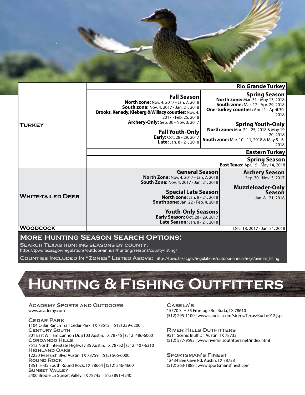

#### **Rio Grande Turkey Spring Season**

| <b>TURKEY</b>            | <b>Fall Season</b><br><b>North zone:</b> Nov. 4, 2017 - Jan. 7, 2018<br><b>South zone: Nov. 4, 2017 - Jan. 21, 2018</b><br><b>Brooks, Kenedy, Kleberg &amp; Willacy counties: Nov. 4,</b><br>2017 - Feb. 25, 2018<br><b>Archery-Only:</b> Sep. 30 - Nov. 3, 2017<br><b>Fall Youth-Only</b><br>Early: Oct. 28 - 29, 2017<br><b>Late:</b> Jan. 8 - 21, 2018 |                                                            | Spring Season<br>North zone: Mar. 31 - May 13, 2018<br><b>South zone: Mar. 17 - Apr. 29, 2018</b><br><b>One-turkey counties:</b> April 1 - April 30,<br>2018<br><b>Spring Youth-Only</b><br><b>North zone:</b> Mar. 24 - 25, 2018 & May 19<br>$-20, 2018$<br><b>South zone:</b> Mar. 10 - 11, 2018 & May 5 - 6,<br>2018 |  |  |
|--------------------------|-----------------------------------------------------------------------------------------------------------------------------------------------------------------------------------------------------------------------------------------------------------------------------------------------------------------------------------------------------------|------------------------------------------------------------|-------------------------------------------------------------------------------------------------------------------------------------------------------------------------------------------------------------------------------------------------------------------------------------------------------------------------|--|--|
|                          | <b>Eastern Turkey</b>                                                                                                                                                                                                                                                                                                                                     |                                                            |                                                                                                                                                                                                                                                                                                                         |  |  |
|                          |                                                                                                                                                                                                                                                                                                                                                           | <b>Spring Season</b><br>East Texas: Apr. 15 - May 14, 2018 |                                                                                                                                                                                                                                                                                                                         |  |  |
| <b>WHITE-TAILED DEER</b> | <b>General Season</b><br><b>North Zone: Nov. 4, 2017 - Jan. 7, 2018</b><br><b>South Zone: Nov. 4, 2017 - Jan. 21, 2018</b>                                                                                                                                                                                                                                | <b>Archery Season</b><br>Sep. 30 - Nov. 3, 2017            |                                                                                                                                                                                                                                                                                                                         |  |  |
|                          | <b>Special Late Season</b><br><b>North zone: Jan. 8 - 21, 2018</b><br><b>South zone:</b> Jan. 22 - Feb. 4, 2018                                                                                                                                                                                                                                           | <b>Muzzleloader-Only</b><br>Season<br>Jan. 8 - 21, 2018    |                                                                                                                                                                                                                                                                                                                         |  |  |
|                          | <b>Youth-Only Seasons</b><br>Early Season: Oct. 28 - 29, 2017<br><b>Late Season: Jan. 8 - 21, 2018</b>                                                                                                                                                                                                                                                    |                                                            |                                                                                                                                                                                                                                                                                                                         |  |  |
| Woodcock                 |                                                                                                                                                                                                                                                                                                                                                           |                                                            | Dec. 18, 2017 - Jan. 31, 2018                                                                                                                                                                                                                                                                                           |  |  |

# **More Hunting Season Search Options:**

**Search Texas hunting seasons by county:**

<https://tpwd.texas.gov/regulations/outdoor-annual/hunting/seasons/county-listing/>

**Counties Included In "Zones" Listed Above:** [https://tpwd.texas.gov/regulations/outdoor-annual/regs/animal\\_listing](https://tpwd.texas.gov/regulations/outdoor-annual/regs/animal_listing)

# **Hunting & Fishing Outfitters**

#### **Academy Sports and Outdoors** [www.academy.com](http://www.academy.com/)

**Cedar Park** 1104 C-Bar Ranch Trail Cedar Park, TX 78613 | (512) 259-6200 **Century South** 801 East William Cannon Dr, #103 Austin, TX 78745 | (512) 486-6000 **Coroando Hills** 7513 North Interstate Highway 35 Austin, TX 78752 | (512) 407-6310 **Highland Oaks** 12250 Research Blvd Austin, TX 78759 | (512) 506-6000 **Round Rock** 1351 IH-35 South Round Rock, TX 78664 | (512) 246-4600 **Sunset Valley** 5400 Brodie Ln Sunset Valley, TX 78745 | (512) 891-4240

### **Cabela's**

15570 S IH 35 Frontage Rd, Buda, TX 78610 (512) 295-1100 | [www.cabelas.com/stores/Texas/Buda/012.jsp](http://www.cabelas.com/stores/Texas/Buda/012.jsp)

# **River Hills Outfitters**

9511 Scenic Bluff Dr, Austin, TX 78733 (512) 577-9592 | [www.riverhillsoutfitters.net/index.html](http://www.riverhillsoutfitters.net/index.html)

### **Sportsman's Finest**

12434 Bee Cave Rd, Austin, TX 78738 (512) 263-1888 | [www.sportsmansfinest.com](http://www.sportsmansfinest.com/)